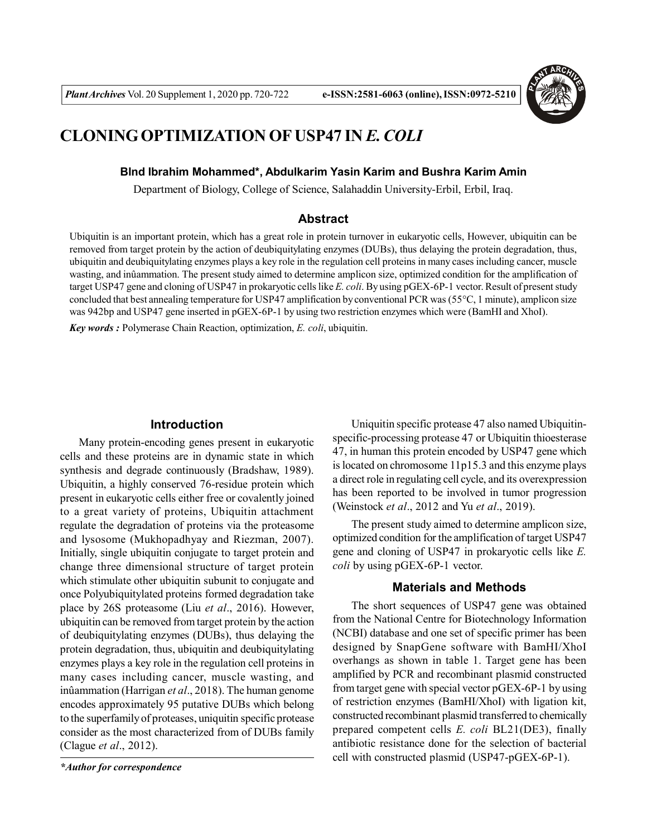

# **CLONING OPTIMIZATION OF USP47 IN** *E. COLI*

# **Blnd Ibrahim Mohammed\*, Abdulkarim Yasin Karim and Bushra Karim Amin**

Department of Biology, College of Science, Salahaddin University-Erbil, Erbil, Iraq.

#### **Abstract**

Ubiquitin is an important protein, which has a great role in protein turnover in eukaryotic cells, However, ubiquitin can be removed from target protein by the action of deubiquitylating enzymes (DUBs), thus delaying the protein degradation, thus, ubiquitin and deubiquitylating enzymes plays a key role in the regulation cell proteins in many cases including cancer, muscle wasting, and inûammation. The present study aimed to determine amplicon size, optimized condition for the amplification of target USP47 gene and cloning of USP47 in prokaryotic cells like *E. coli*. By using pGEX-6P-1 vector. Result of present study concluded that best annealing temperature for USP47 amplification by conventional PCR was (55°C, 1 minute), amplicon size was 942bp and USP47 gene inserted in pGEX-6P-1 by using two restriction enzymes which were (BamHI and XhoI).

*Key words :* Polymerase Chain Reaction, optimization, *E. coli*, ubiquitin.

# **Introduction**

Many protein-encoding genes present in eukaryotic cells and these proteins are in dynamic state in which synthesis and degrade continuously (Bradshaw, 1989). Ubiquitin, a highly conserved 76-residue protein which present in eukaryotic cells either free or covalently joined to a great variety of proteins, Ubiquitin attachment regulate the degradation of proteins via the proteasome and lysosome (Mukhopadhyay and Riezman, 2007). Initially, single ubiquitin conjugate to target protein and change three dimensional structure of target protein which stimulate other ubiquitin subunit to conjugate and once Polyubiquitylated proteins formed degradation take place by 26S proteasome (Liu *et al*., 2016). However, ubiquitin can be removed from target protein by the action of deubiquitylating enzymes (DUBs), thus delaying the protein degradation, thus, ubiquitin and deubiquitylating enzymes plays a key role in the regulation cell proteins in many cases including cancer, muscle wasting, and inûammation (Harrigan *et al*., 2018). The human genome encodes approximately 95 putative DUBs which belong to the superfamily of proteases, uniquitin specific protease consider as the most characterized from of DUBs family (Clague *et al*., 2012).

*\*Author for correspondence*

Uniquitin specific protease 47 also named Ubiquitinspecific-processing protease 47 or Ubiquitin thioesterase 47, in human this protein encoded by USP47 gene which is located on chromosome 11p15.3 and this enzyme plays a direct role in regulating cell cycle, and its overexpression has been reported to be involved in tumor progression (Weinstock *et al*., 2012 and Yu *et al*., 2019).

The present study aimed to determine amplicon size, optimized condition for the amplification of target USP47 gene and cloning of USP47 in prokaryotic cells like *E. coli* by using pGEX-6P-1 vector.

#### **Materials and Methods**

The short sequences of USP47 gene was obtained from the National Centre for Biotechnology Information (NCBI) database and one set of specific primer has been designed by SnapGene software with BamHI/XhoI overhangs as shown in table 1. Target gene has been amplified by PCR and recombinant plasmid constructed from target gene with special vector pGEX-6P-1 by using of restriction enzymes (BamHI/XhoI) with ligation kit, constructed recombinant plasmid transferred to chemically prepared competent cells *E. coli* BL21(DE3), finally antibiotic resistance done for the selection of bacterial cell with constructed plasmid (USP47-pGEX-6P-1).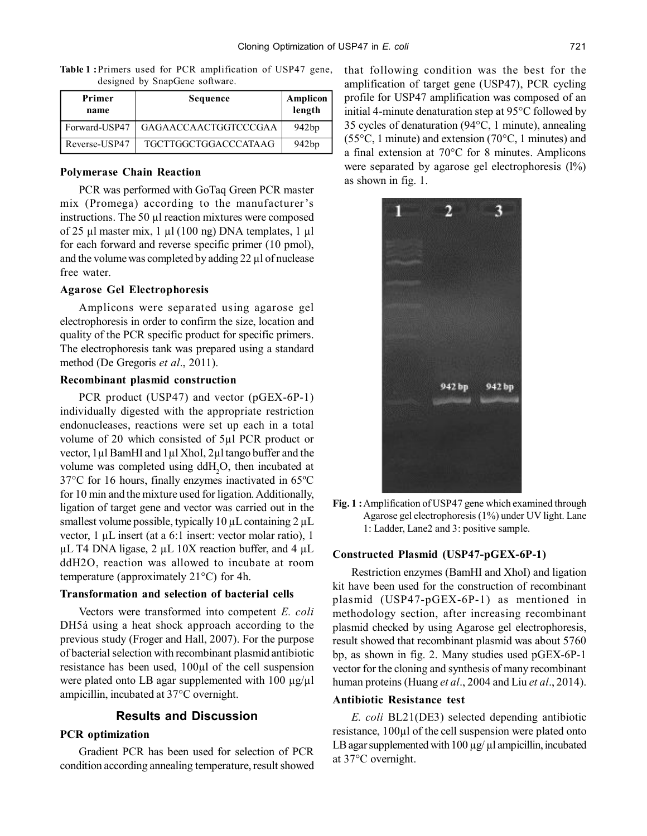**Table 1 :**Primers used for PCR amplification of USP47 gene, designed by SnapGene software.

| Primer<br>name | Sequence             | Amplicon<br>length |
|----------------|----------------------|--------------------|
| Forward-USP47  | GAGAACCAACTGGTCCCGAA | 942bp              |
| Reverse-USP47  | TGCTTGGCTGGACCCATAAG | 942bp              |

#### **Polymerase Chain Reaction**

PCR was performed with GoTaq Green PCR master mix (Promega) according to the manufacturer's instructions. The 50 µl reaction mixtures were composed of 25 µl master mix, 1 µl (100 ng) DNA templates, 1 µl for each forward and reverse specific primer (10 pmol), and the volume was completed by adding 22 µl of nuclease free water.

# **Agarose Gel Electrophoresis**

Amplicons were separated using agarose gel electrophoresis in order to confirm the size, location and quality of the PCR specific product for specific primers. The electrophoresis tank was prepared using a standard method (De Gregoris *et al*., 2011).

# **Recombinant plasmid construction**

PCR product (USP47) and vector (pGEX-6P-1) individually digested with the appropriate restriction endonucleases, reactions were set up each in a total volume of 20 which consisted of 5µl PCR product or vector, 1µl BamHI and 1µl XhoI, 2µl tango buffer and the volume was completed using ddH<sub>2</sub>O, then incubated at 37°C for 16 hours, finally enzymes inactivated in 65ºC for 10 min and the mixture used for ligation. Additionally, ligation of target gene and vector was carried out in the smallest volume possible, typically  $10 \mu L$  containing  $2 \mu L$ vector, 1 µL insert (at a 6:1 insert: vector molar ratio), 1  $\mu$ L T4 DNA ligase, 2  $\mu$ L 10X reaction buffer, and 4  $\mu$ L ddH2O, reaction was allowed to incubate at room temperature (approximately 21°C) for 4h.

#### **Transformation and selection of bacterial cells**

Vectors were transformed into competent *E. coli* DH5á using a heat shock approach according to the previous study (Froger and Hall, 2007). For the purpose of bacterial selection with recombinant plasmid antibiotic resistance has been used, 100µl of the cell suspension were plated onto LB agar supplemented with 100 µg/µl ampicillin, incubated at 37°C overnight.

# **Results and Discussion**

## **PCR optimization**

Gradient PCR has been used for selection of PCR condition according annealing temperature, result showed that following condition was the best for the amplification of target gene (USP47), PCR cycling profile for USP47 amplification was composed of an initial 4-minute denaturation step at 95°C followed by 35 cycles of denaturation (94°C, 1 minute), annealing (55°C, 1 minute) and extension (70°C, 1 minutes) and a final extension at 70°C for 8 minutes. Amplicons were separated by agarose gel electrophoresis  $(1\%)$ as shown in fig. 1.



**Fig. 1 :**Amplification of USP47 gene which examined through Agarose gel electrophoresis (1%) under UV light. Lane 1: Ladder, Lane2 and 3: positive sample.

#### **Constructed Plasmid (USP47-pGEX-6P-1)**

Restriction enzymes (BamHI and XhoI) and ligation kit have been used for the construction of recombinant plasmid (USP47-pGEX-6P-1) as mentioned in methodology section, after increasing recombinant plasmid checked by using Agarose gel electrophoresis, result showed that recombinant plasmid was about 5760 bp, as shown in fig. 2. Many studies used pGEX-6P-1 vector for the cloning and synthesis of many recombinant human proteins (Huang *et al*., 2004 and Liu *et al*., 2014).

#### **Antibiotic Resistance test**

*E. coli* BL21(DE3) selected depending antibiotic resistance, 100µl of the cell suspension were plated onto LB agar supplemented with 100 µg/ µl ampicillin, incubated at 37°C overnight.